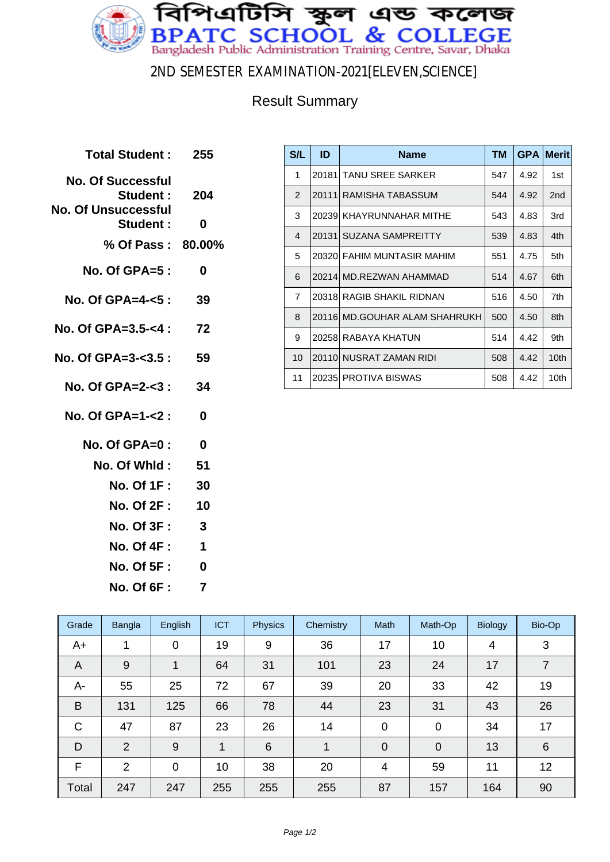

2ND SEMESTER EXAMINATION-2021[ELEVEN,SCIENCE]

## Result Summary

| <b>Total Student:</b>                | 255         |
|--------------------------------------|-------------|
| <b>No. Of Successful</b><br>Student: | - 204       |
| No. Of Unsuccessful                  |             |
| Student:                             | 0           |
| % Of Pass: 80,00%                    |             |
| $No. Of GPA = 5:$                    | 0           |
| No. Of GPA=4- $5$ :                  | 39          |
| No. Of GPA=3.5-<4 :                  | -72         |
| No. Of GPA=3-<3.5 :                  | 59          |
| No. Of GPA=2-<3 :                    | 34          |
| No. Of GPA=1-<2:                     | 0           |
| No. Of GPA=0:                        | $\bf{0}$    |
| No. Of Whld:                         | 51          |
| <b>No. Of 1F :</b>                   | 30          |
| <b>No. Of 2F :</b>                   | 10          |
| <b>No. Of 3F:</b>                    | 3           |
| <b>No. Of 4F:</b>                    | $\mathbf 1$ |
| <b>No. Of 5F :</b>                   | O           |
| <b>No. Of 6F:</b>                    | 7           |
|                                      |             |

| S/L            | ID     | <b>Name</b>                   | TM  | <b>GPA</b> | <b>Merit</b>     |
|----------------|--------|-------------------------------|-----|------------|------------------|
| 1              | 201811 | <b>TANU SREE SARKER</b>       | 547 | 4.92       | 1st              |
| $\overline{2}$ |        | 20111 RAMISHA TABASSUM        | 544 | 4.92       | 2 <sub>nd</sub>  |
| 3              |        | 20239 KHAYRUNNAHAR MITHE      | 543 | 4.83       | 3rd              |
| 4              |        | 20131 SUZANA SAMPREITTY       | 539 | 4.83       | 4th              |
| 5              |        | 20320 FAHIM MUNTASIR MAHIM    | 551 | 4.75       | 5th              |
| 6              |        | 20214  MD.REZWAN AHAMMAD      | 514 | 4.67       | 6th              |
| $\overline{7}$ |        | 20318 RAGIB SHAKIL RIDNAN     | 516 | 4.50       | 7th              |
| 8              |        | 20116 MD.GOUHAR ALAM SHAHRUKH | 500 | 4.50       | 8th              |
| 9              |        | 20258 RABAYA KHATUN           | 514 | 4.42       | 9th              |
| 10             |        | 20110 NUSRAT ZAMAN RIDI       | 508 | 4.42       | 10 <sub>th</sub> |
| 11             |        | 20235 PROTIVA BISWAS          | 508 | 4.42       | 10th             |

| Grade | Bangla         | English        | <b>ICT</b> | <b>Physics</b> | Chemistry | Math           | Math-Op        | <b>Biology</b> | Bio-Op          |
|-------|----------------|----------------|------------|----------------|-----------|----------------|----------------|----------------|-----------------|
| $A+$  |                | $\overline{0}$ | 19         | 9              | 36        | 17             | 10             | 4              | 3               |
| A     | 9              |                | 64         | 31             | 101       | 23             | 24             | 17             | 7               |
| A-    | 55             | 25             | 72         | 67             | 39        | 20             | 33             | 42             | 19              |
| B     | 131            | 125            | 66         | 78             | 44        | 23             | 31             | 43             | 26              |
| C     | 47             | 87             | 23         | 26             | 14        | $\mathbf 0$    | $\mathbf 0$    | 34             | 17              |
| D     | $\overline{2}$ | 9              | 1          | 6              | 1         | $\overline{0}$ | $\overline{0}$ | 13             | $6\phantom{1}6$ |
| F     | 2              | $\overline{0}$ | 10         | 38             | 20        | 4              | 59             | 11             | 12              |
| Total | 247            | 247            | 255        | 255            | 255       | 87             | 157            | 164            | 90              |